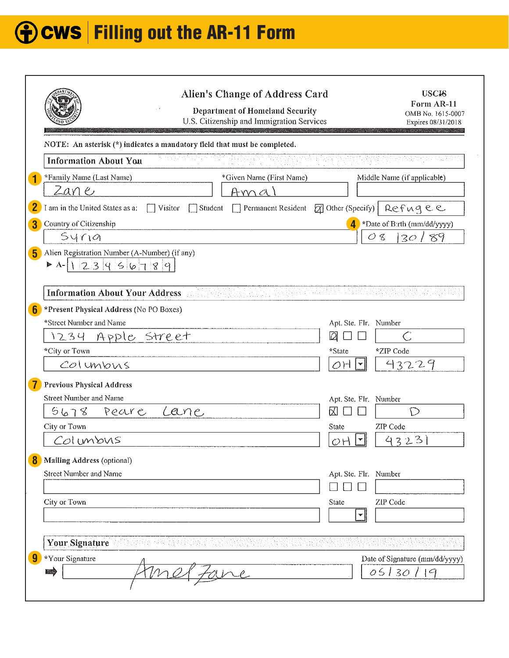# Filling out the AR-11 Form

|                                                                                      | <b>Alien's Change of Address Card</b><br><b>Department of Homeland Security</b><br>U.S. Citizenship and Immigration Services | <b>USCI6</b><br>Form AR-11<br>OMB No. 1615-0007<br>Expires 08/31/2018 |
|--------------------------------------------------------------------------------------|------------------------------------------------------------------------------------------------------------------------------|-----------------------------------------------------------------------|
| NOTE: An asterisk (*) indicates a mandatory field that must be completed.            |                                                                                                                              |                                                                       |
| <b>Information About You</b>                                                         |                                                                                                                              | 당하는 아침 오자 아파 가 되어도 봐 봐.                                               |
| *Family Name (Last Name)                                                             | *Given Name (First Name)                                                                                                     | Middle Name (if applicable)                                           |
| <u>Zan e</u>                                                                         | $A$ mal                                                                                                                      |                                                                       |
| 2<br>I am in the United States as a:<br>Visitor                                      | Student<br>Permanent Resident                                                                                                | $\boxed{7}$ Other (Specify) Refugee                                   |
| Country of Citizenship<br>$\overline{\mathbf{3}}$                                    |                                                                                                                              | $\overline{4}$<br>*Date of Birth (mm/dd/yyyy)                         |
| Syr101                                                                               |                                                                                                                              | OS<br>89<br>30/                                                       |
| $5\phantom{1}$<br>Alien Registration Number (A-Number) (if any)<br>234.56789<br>▶ A- |                                                                                                                              |                                                                       |
| <b>Information About Your Address</b>                                                |                                                                                                                              |                                                                       |
| *Present Physical Address (No PO Boxes)<br>$6\phantom{1}$                            |                                                                                                                              |                                                                       |
| *Street Number and Name                                                              |                                                                                                                              | Apt. Ste. Flr. Number                                                 |
| Apple street<br>1234                                                                 |                                                                                                                              | $\varpi$                                                              |
| *City or Town                                                                        |                                                                                                                              | *ZIP Code<br>*State                                                   |
| COLUMbUS                                                                             |                                                                                                                              | 43229<br>OH<br>₩j                                                     |
| 7<br><b>Previous Physical Address</b>                                                |                                                                                                                              |                                                                       |
| Street Number and Name                                                               |                                                                                                                              | Apt. Ste. Flr. Number                                                 |
| 5678<br>Lane<br>Peare                                                                |                                                                                                                              | 风<br>$\mathcal{D}$                                                    |
| City or Town                                                                         |                                                                                                                              | State<br>ZIP Code                                                     |
| Columbus                                                                             |                                                                                                                              | 43231<br>٣ļ<br>OH                                                     |
| Mailing Address (optional)<br>8                                                      |                                                                                                                              |                                                                       |
| Street Number and Name                                                               |                                                                                                                              | Apt. Ste. Flr. Number                                                 |
|                                                                                      |                                                                                                                              |                                                                       |
| City or Town                                                                         |                                                                                                                              | ZIP Code<br>State                                                     |
|                                                                                      |                                                                                                                              | $\mathbf{r}$                                                          |
| Your Signature                                                                       |                                                                                                                              |                                                                       |
| $\boldsymbol{9}$<br>*Your Signature                                                  |                                                                                                                              | Date of Signature (mm/dd/yyyy)                                        |
| 磁盘                                                                                   |                                                                                                                              | 05130<br> q                                                           |
|                                                                                      |                                                                                                                              |                                                                       |
|                                                                                      |                                                                                                                              |                                                                       |